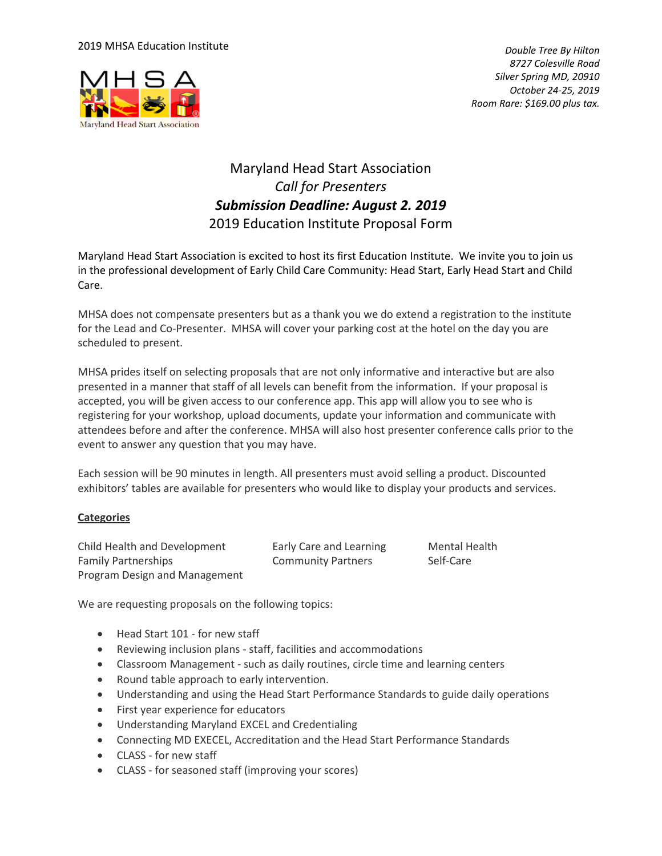### 2019 MHSA Education Institute



*Double Tree By Hilton 8727 Colesville Road Silver Spring MD, 20910 October 24-25, 2019 Room Rare: \$169.00 plus tax.* 

# Maryland Head Start Association *Call for Presenters Submission Deadline: August 2. 2019* 2019 Education Institute Proposal Form

Maryland Head Start Association is excited to host its first Education Institute. We invite you to join us in the professional development of Early Child Care Community: Head Start, Early Head Start and Child Care.

MHSA does not compensate presenters but as a thank you we do extend a registration to the institute for the Lead and Co-Presenter. MHSA will cover your parking cost at the hotel on the day you are scheduled to present.

MHSA prides itself on selecting proposals that are not only informative and interactive but are also presented in a manner that staff of all levels can benefit from the information. If your proposal is accepted, you will be given access to our conference app. This app will allow you to see who is registering for your workshop, upload documents, update your information and communicate with attendees before and after the conference. MHSA will also host presenter conference calls prior to the event to answer any question that you may have.

Each session will be 90 minutes in length. All presenters must avoid selling a product. Discounted exhibitors' tables are available for presenters who would like to display your products and services.

### **Categories**

Child Health and Development Early Care and Learning Mental Health Family Partnerships **Community Partners** Self-Care Program Design and Management

We are requesting proposals on the following topics:

- Head Start 101 for new staff
- Reviewing inclusion plans staff, facilities and accommodations
- Classroom Management such as daily routines, circle time and learning centers
- Round table approach to early intervention.
- Understanding and using the Head Start Performance Standards to guide daily operations
- First year experience for educators
- Understanding Maryland EXCEL and Credentialing
- Connecting MD EXECEL, Accreditation and the Head Start Performance Standards
- CLASS for new staff
- CLASS for seasoned staff (improving your scores)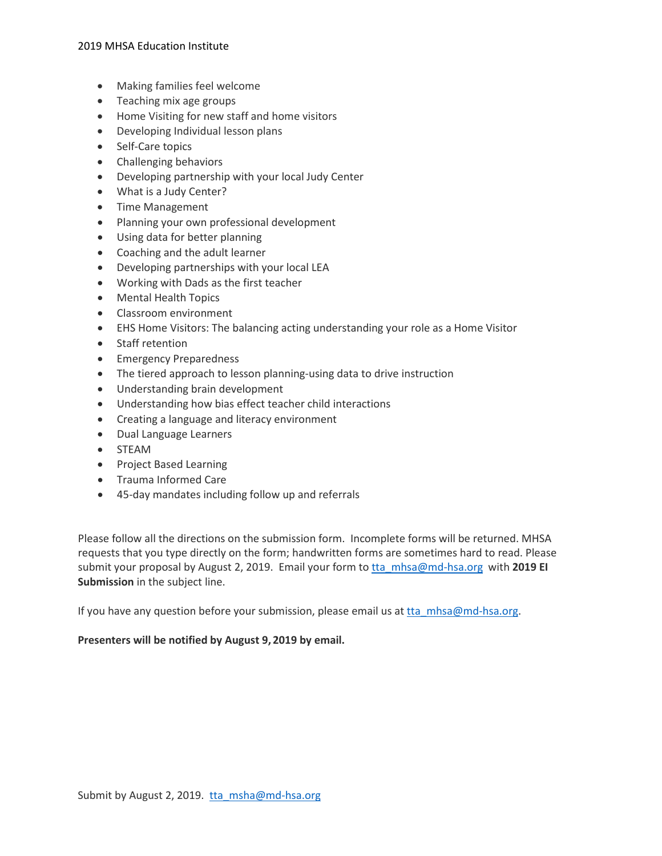#### 2019 MHSA Education Institute

- Making families feel welcome
- Teaching mix age groups
- Home Visiting for new staff and home visitors
- Developing Individual lesson plans
- Self-Care topics
- Challenging behaviors
- Developing partnership with your local Judy Center
- What is a Judy Center?
- Time Management
- Planning your own professional development
- Using data for better planning
- Coaching and the adult learner
- Developing partnerships with your local LEA
- Working with Dads as the first teacher
- Mental Health Topics
- Classroom environment
- EHS Home Visitors: The balancing acting understanding your role as a Home Visitor
- Staff retention
- Emergency Preparedness
- The tiered approach to lesson planning-using data to drive instruction
- Understanding brain development
- Understanding how bias effect teacher child interactions
- Creating a language and literacy environment
- Dual Language Learners
- STEAM
- Project Based Learning
- Trauma Informed Care
- 45-day mandates including follow up and referrals

Please follow all the directions on the submission form. Incomplete forms will be returned. MHSA requests that you type directly on the form; handwritten forms are sometimes hard to read. Please submit your proposal by August 2, 2019. Email your form t[o tta\\_mhsa@md-hsa.org](mailto:tta_mhsa@md-hsa.org) with **2019 EI Submission** in the subject line.

If you have any question before your submission, please email us at [tta\\_mhsa@md-hsa.org.](mailto:tta_mhsa@md-hsa.org)

### **Presenters will be notified by August 9, 2019 by email.**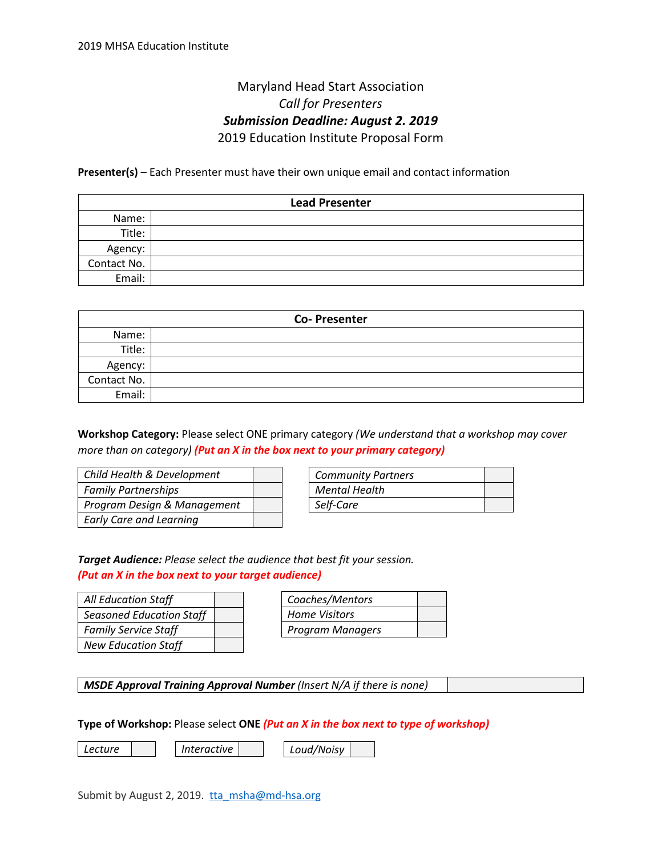## Maryland Head Start Association *Call for Presenters Submission Deadline: August 2. 2019* 2019 Education Institute Proposal Form

**Presenter(s)** – Each Presenter must have their own unique email and contact information

| <b>Lead Presenter</b> |  |  |  |
|-----------------------|--|--|--|
| Name:                 |  |  |  |
| Title:                |  |  |  |
| Agency:               |  |  |  |
| Contact No.           |  |  |  |
| Email:                |  |  |  |

| <b>Co-Presenter</b> |  |  |  |
|---------------------|--|--|--|
| Name:               |  |  |  |
| Title:              |  |  |  |
| Agency:             |  |  |  |
| Contact No.         |  |  |  |
| Email:              |  |  |  |

**Workshop Category:** Please select ONE primary category *(We understand that a workshop may cover more than on category) (Put an X in the box next to your primary category)*

| Child Health & Development     |  |
|--------------------------------|--|
| <b>Family Partnerships</b>     |  |
| Program Design & Management    |  |
| <b>Early Care and Learning</b> |  |

| <b>Community Partners</b> |  |
|---------------------------|--|
| <b>Mental Health</b>      |  |
| Self-Care                 |  |

*Target Audience: Please select the audience that best fit your session. (Put an X in the box next to your target audience)*

| <b>All Education Staff</b>      |  |
|---------------------------------|--|
| <b>Seasoned Education Staff</b> |  |
| <b>Family Service Staff</b>     |  |
| <b>New Education Staff</b>      |  |

| Coaches/Mentors      |  |
|----------------------|--|
| <b>Home Visitors</b> |  |
| Program Managers     |  |

*MSDE Approval Training Approval Number (Insert N/A if there is none)*

**Type of Workshop:** Please select **ONE** *(Put an X in the box next to type of workshop)*

*Lecture*

*Interactive Loud/Noisy*

Submit by August 2, 2019. tha msha@md-hsa.org